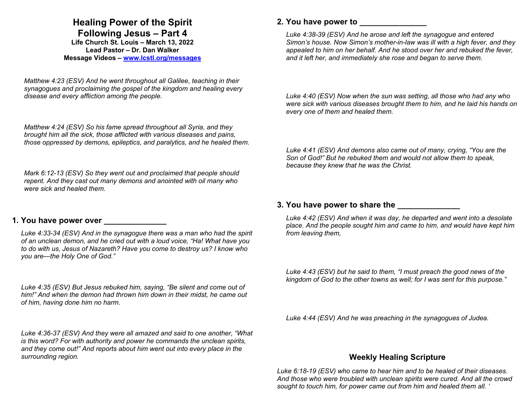# **Healing Power of the Spirit**

**Following Jesus – Part 4**

**Life Church St. Louis** *–* **March 13, 2022 Lead Pastor – Dr. Dan Walker Message Videos – www.lcstl.org/messages**

*Matthew 4:23 (ESV) And he went throughout all Galilee, teaching in their synagogues and proclaiming the gospel of the kingdom and healing every disease and every affliction among the people.* 

*Matthew 4:24 (ESV) So his fame spread throughout all Syria, and they brought him all the sick, those afflicted with various diseases and pains, those oppressed by demons, epileptics, and paralytics, and he healed them.* 

*Mark 6:12-13 (ESV) So they went out and proclaimed that people should repent. And they cast out many demons and anointed with oil many who were sick and healed them.* 

# **1. You have power over \_\_\_\_\_\_\_\_\_\_\_\_\_\_**

*Luke 4:33-34 (ESV) And in the synagogue there was a man who had the spirit of an unclean demon, and he cried out with a loud voice, "Ha! What have you to do with us, Jesus of Nazareth? Have you come to destroy us? I know who you are—the Holy One of God."* 

*Luke 4:35 (ESV) But Jesus rebuked him, saying, "Be silent and come out of him!" And when the demon had thrown him down in their midst, he came out of him, having done him no harm.* 

*Luke 4:36-37 (ESV) And they were all amazed and said to one another, "What is this word? For with authority and power he commands the unclean spirits, and they come out!" And reports about him went out into every place in the surrounding region.* 

### **2. You have power to \_\_\_\_\_\_\_\_\_\_\_\_\_\_\_**

*Luke 4:38-39 (ESV) And he arose and left the synagogue and entered Simon's house. Now Simon's mother-in-law was ill with a high fever, and they appealed to him on her behalf. And he stood over her and rebuked the fever, and it left her, and immediately she rose and began to serve them.* 

*Luke 4:40 (ESV) Now when the sun was setting, all those who had any who were sick with various diseases brought them to him, and he laid his hands on every one of them and healed them.* 

*Luke 4:41 (ESV) And demons also came out of many, crying, "You are the Son of God!" But he rebuked them and would not allow them to speak, because they knew that he was the Christ.* 

#### **3. You have power to share the \_\_\_\_\_\_\_\_\_\_\_\_\_\_**

*Luke 4:42 (ESV) And when it was day, he departed and went into a desolate place. And the people sought him and came to him, and would have kept him from leaving them,* 

*Luke 4:43 (ESV) but he said to them, "I must preach the good news of the kingdom of God to the other towns as well; for I was sent for this purpose."* 

*Luke 4:44 (ESV) And he was preaching in the synagogues of Judea.* 

# **Weekly Healing Scripture**

*Luke 6:18-19 (ESV) who came to hear him and to be healed of their diseases. And those who were troubled with unclean spirits were cured. And all the crowd sought to touch him, for power came out from him and healed them all. '*